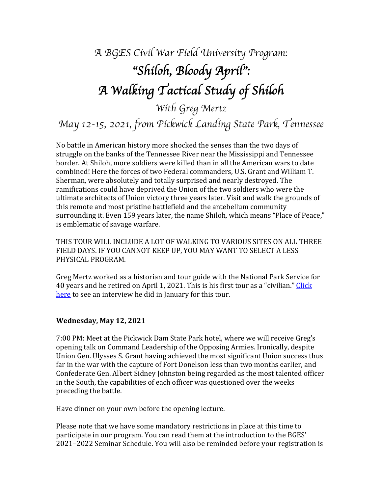# *A BGES Civil War Field University Program:* "*Shiloh, Bloody April*"*: A Walking Tactical Study of Shiloh*

*With Greg Mertz*

*May 12-15, 2021, from Pickwick Landing State Park, Tennessee*

No battle in American history more shocked the senses than the two days of struggle on the banks of the Tennessee River near the Mississippi and Tennessee border. At Shiloh, more soldiers were killed than in all the American wars to date combined! Here the forces of two Federal commanders, U.S. Grant and William T. Sherman, were absolutely and totally surprised and nearly destroyed. The ramifications could have deprived the Union of the two soldiers who were the ultimate architects of Union victory three years later. Visit and walk the grounds of this remote and most pristine battlefield and the antebellum community surrounding it. Even 159 years later, the name Shiloh, which means "Place of Peace," is emblematic of savage warfare.

THIS TOUR WILL INCLUDE A LOT OF WALKING TO VARIOUS SITES ON ALL THREE FIELD DAYS. IF YOU CANNOT KEEP UP, YOU MAY WANT TO SELECT A LESS PHYSICAL PROGRAM.

Greg Mertz worked as a historian and tour guide with the National Park Service for 40 years and he retired on April 1, 2021. This is his first tour as a "civilian." Click here to see an interview he did in January for this tour.

#### **Wednesday, May 12, 2021**

7:00 PM: Meet at the Pickwick Dam State Park hotel, where we will receive Greg's opening talk on Command Leadership of the Opposing Armies. Ironically, despite Union Gen. Ulysses S. Grant having achieved the most significant Union success thus far in the war with the capture of Fort Donelson less than two months earlier, and Confederate Gen. Albert Sidney Johnston being regarded as the most talented officer in the South, the capabilities of each officer was questioned over the weeks preceding the battle.

Have dinner on your own before the opening lecture.

Please note that we have some mandatory restrictions in place at this time to participate in our program. You can read them at the introduction to the BGES' 2021–2022 Seminar Schedule. You will also be reminded before your registration is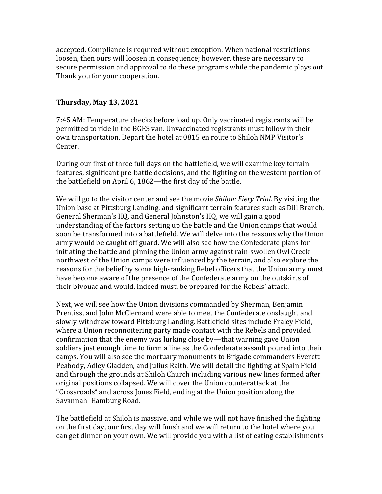accepted. Compliance is required without exception. When national restrictions loosen, then ours will loosen in consequence; however, these are necessary to secure permission and approval to do these programs while the pandemic plays out. Thank you for your cooperation.

#### **Thursday, May 13, 2021**

7:45 AM: Temperature checks before load up. Only vaccinated registrants will be permitted to ride in the BGES van. Unvaccinated registrants must follow in their own transportation. Depart the hotel at 0815 en route to Shiloh NMP Visitor's Center.

During our first of three full days on the battlefield, we will examine key terrain features, significant pre-battle decisions, and the fighting on the western portion of the battlefield on April 6, 1862—the first day of the battle.

We will go to the visitor center and see the movie *Shiloh: Fiery Trial.* By visiting the Union base at Pittsburg Landing, and significant terrain features such as Dill Branch, General Sherman's HQ, and General Johnston's HQ, we will gain a good understanding of the factors setting up the battle and the Union camps that would soon be transformed into a battlefield. We will delve into the reasons why the Union army would be caught off guard. We will also see how the Confederate plans for initiating the battle and pinning the Union army against rain-swollen Owl Creek northwest of the Union camps were influenced by the terrain, and also explore the reasons for the belief by some high-ranking Rebel officers that the Union army must have become aware of the presence of the Confederate army on the outskirts of their bivouac and would, indeed must, be prepared for the Rebels' attack.

Next, we will see how the Union divisions commanded by Sherman, Benjamin Prentiss, and John McClernand were able to meet the Confederate onslaught and slowly withdraw toward Pittsburg Landing. Battlefield sites include Fraley Field, where a Union reconnoitering party made contact with the Rebels and provided confirmation that the enemy was lurking close by—that warning gave Union soldiers just enough time to form a line as the Confederate assault poured into their camps. You will also see the mortuary monuments to Brigade commanders Everett Peabody, Adley Gladden, and Julius Raith. We will detail the fighting at Spain Field and through the grounds at Shiloh Church including various new lines formed after original positions collapsed. We will cover the Union counterattack at the "Crossroads" and across Jones Field, ending at the Union position along the Savannah-Hamburg Road.

The battlefield at Shiloh is massive, and while we will not have finished the fighting on the first day, our first day will finish and we will return to the hotel where you can get dinner on your own. We will provide you with a list of eating establishments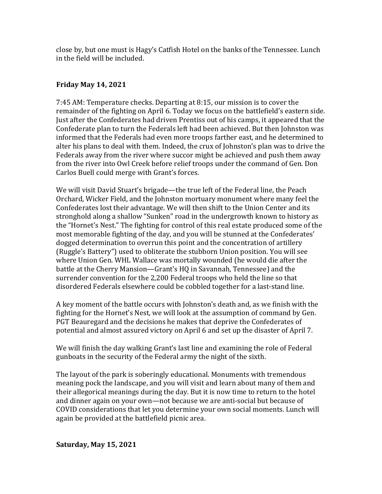close by, but one must is Hagy's Catfish Hotel on the banks of the Tennessee. Lunch in the field will be included.

#### **Friday May 14, 2021**

7:45 AM: Temperature checks. Departing at 8:15, our mission is to cover the remainder of the fighting on April 6. Today we focus on the battlefield's eastern side. Just after the Confederates had driven Prentiss out of his camps, it appeared that the Confederate plan to turn the Federals left had been achieved. But then Johnston was informed that the Federals had even more troops farther east, and he determined to alter his plans to deal with them. Indeed, the crux of Johnston's plan was to drive the Federals away from the river where succor might be achieved and push them away from the river into Owl Creek before relief troops under the command of Gen. Don Carlos Buell could merge with Grant's forces.

We will visit David Stuart's brigade—the true left of the Federal line, the Peach Orchard, Wicker Field, and the Johnston mortuary monument where many feel the Confederates lost their advantage. We will then shift to the Union Center and its stronghold along a shallow "Sunken" road in the undergrowth known to history as the "Hornet's Nest." The fighting for control of this real estate produced some of the most memorable fighting of the day, and you will be stunned at the Confederates' dogged determination to overrun this point and the concentration of artillery (Ruggle's Battery") used to obliterate the stubborn Union position. You will see where Union Gen. WHL Wallace was mortally wounded (he would die after the battle at the Cherry Mansion—Grant's HQ in Savannah, Tennessee) and the surrender convention for the 2,200 Federal troops who held the line so that disordered Federals elsewhere could be cobbled together for a last-stand line.

A key moment of the battle occurs with Johnston's death and, as we finish with the fighting for the Hornet's Nest, we will look at the assumption of command by Gen. PGT Beauregard and the decisions he makes that deprive the Confederates of potential and almost assured victory on April 6 and set up the disaster of April 7.

We will finish the day walking Grant's last line and examining the role of Federal gunboats in the security of the Federal army the night of the sixth.

The layout of the park is soberingly educational. Monuments with tremendous meaning pock the landscape, and you will visit and learn about many of them and their allegorical meanings during the day. But it is now time to return to the hotel and dinner again on your own—not because we are anti-social but because of COVID considerations that let you determine your own social moments. Lunch will again be provided at the battlefield picnic area.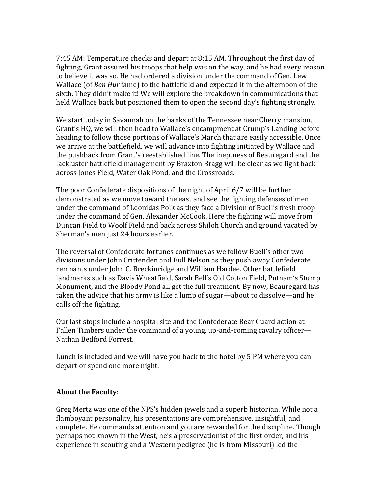7:45 AM: Temperature checks and depart at 8:15 AM. Throughout the first day of fighting, Grant assured his troops that help was on the way, and he had every reason to believe it was so. He had ordered a division under the command of Gen. Lew Wallace (of *Ben Hur* fame) to the battlefield and expected it in the afternoon of the sixth. They didn't make it! We will explore the breakdown in communications that held Wallace back but positioned them to open the second day's fighting strongly.

We start today in Savannah on the banks of the Tennessee near Cherry mansion, Grant's HQ, we will then head to Wallace's encampment at Crump's Landing before heading to follow those portions of Wallace's March that are easily accessible. Once we arrive at the battlefield, we will advance into fighting initiated by Wallace and the pushback from Grant's reestablished line. The ineptness of Beauregard and the lackluster battlefield management by Braxton Bragg will be clear as we fight back across Jones Field, Water Oak Pond, and the Crossroads.

The poor Confederate dispositions of the night of April 6/7 will be further demonstrated as we move toward the east and see the fighting defenses of men under the command of Leonidas Polk as they face a Division of Buell's fresh troop under the command of Gen. Alexander McCook. Here the fighting will move from Duncan Field to Woolf Field and back across Shiloh Church and ground vacated by Sherman's men just 24 hours earlier.

The reversal of Confederate fortunes continues as we follow Buell's other two divisions under John Crittenden and Bull Nelson as they push away Confederate remnants under John C. Breckinridge and William Hardee. Other battlefield landmarks such as Davis Wheatfield, Sarah Bell's Old Cotton Field, Putnam's Stump Monument, and the Bloody Pond all get the full treatment. By now, Beauregard has taken the advice that his army is like a lump of sugar—about to dissolve—and he calls off the fighting.

Our last stops include a hospital site and the Confederate Rear Guard action at Fallen Timbers under the command of a young, up-and-coming cavalry officer— Nathan Bedford Forrest.

Lunch is included and we will have you back to the hotel by 5 PM where you can depart or spend one more night.

#### **About the Faculty:**

Greg Mertz was one of the NPS's hidden jewels and a superb historian. While not a flamboyant personality, his presentations are comprehensive, insightful, and complete. He commands attention and you are rewarded for the discipline. Though perhaps not known in the West, he's a preservationist of the first order, and his experience in scouting and a Western pedigree (he is from Missouri) led the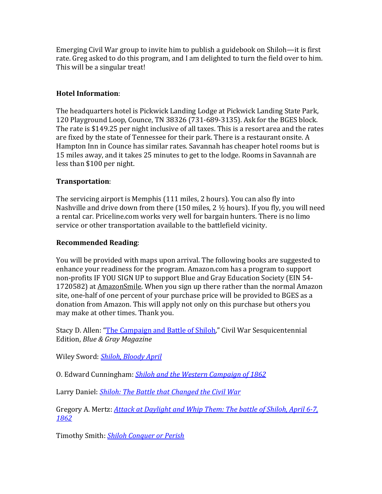Emerging Civil War group to invite him to publish a guidebook on Shiloh—it is first rate. Greg asked to do this program, and I am delighted to turn the field over to him. This will be a singular treat!

#### **Hotel Information**:

The headquarters hotel is Pickwick Landing Lodge at Pickwick Landing State Park, 120 Playground Loop, Counce, TN 38326 (731-689-3135). Ask for the BGES block. The rate is \$149.25 per night inclusive of all taxes. This is a resort area and the rates are fixed by the state of Tennessee for their park. There is a restaurant onsite. A Hampton Inn in Counce has similar rates. Savannah has cheaper hotel rooms but is 15 miles away, and it takes 25 minutes to get to the lodge. Rooms in Savannah are less than \$100 per night.

#### **Transportation**:

The servicing airport is Memphis (111 miles, 2 hours). You can also fly into Nashville and drive down from there  $(150 \text{ miles}, 2\frac{1}{2} \text{ hours})$ . If you fly, you will need a rental car. Priceline.com works very well for bargain hunters. There is no limo service or other transportation available to the battlefield vicinity.

#### **Recommended Reading**:

You will be provided with maps upon arrival. The following books are suggested to enhance your readiness for the program. Amazon.com has a program to support non-profits IF YOU SIGN UP to support Blue and Gray Education Society (EIN 54-1720582) at AmazonSmile. When you sign up there rather than the normal Amazon site, one-half of one percent of your purchase price will be provided to BGES as a donation from Amazon. This will apply not only on this purchase but others you may make at other times. Thank you.

Stacy D. Allen: "The Campaign and Battle of Shiloh," Civil War Sesquicentennial Edition, *Blue & Gray Magazine*

Wiley Sword: **Shiloh, Bloody April** 

O. Edward Cunningham: **Shiloh and the Western Campaign of 1862** 

Larry Daniel: *Shiloh: The Battle that Changed the Civil War* 

Gregory A. Mertz: **Attack at Daylight and Whip Them: The battle of Shiloh, April 6-7,** *1862*

Timothy Smith: *Shiloh Conquer or Perish*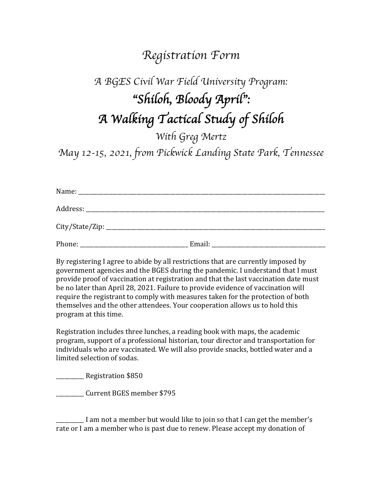### *Registration Form*

## *A BGES Civil War Field University Program:* "*Shiloh, Bloody April*"*: A Walking Tactical Study of Shiloh*

*With Greg Mertz May 12-15, 2021, from Pickwick Landing State Park, Tennessee*

| Phone:<br>the control of the control of the control of the control of the control of | Email: | <u> 1989 - John Stone, Amerikaansk konstantiner (</u> |
|--------------------------------------------------------------------------------------|--------|-------------------------------------------------------|

By registering I agree to abide by all restrictions that are currently imposed by government agencies and the BGES during the pandemic. I understand that I must provide proof of vaccination at registration and that the last vaccination date must be no later than April 28, 2021. Failure to provide evidence of vaccination will require the registrant to comply with measures taken for the protection of both themselves and the other attendees. Your cooperation allows us to hold this program at this time.

Registration includes three lunches, a reading book with maps, the academic program, support of a professional historian, tour director and transportation for individuals who are vaccinated. We will also provide snacks, bottled water and a limited selection of sodas.

\_\_\_\_\_\_\_\_\_\_ Registration \$850

\_\_\_\_\_\_\_\_\_\_ Current BGES member \$795

I am not a member but would like to join so that I can get the member's rate or I am a member who is past due to renew. Please accept my donation of